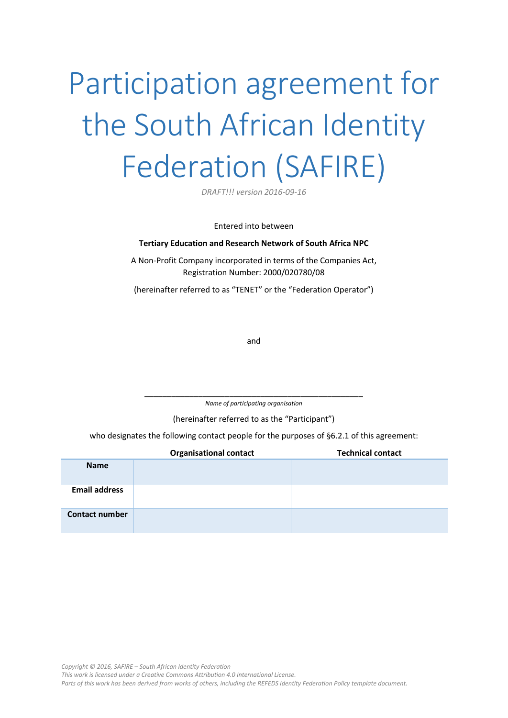# Participation agreement for the South African Identity Federation (SAFIRE)

*DRAFT!!! version 2016-09-16*

Entered into between

#### **Tertiary Education and Research Network of South Africa NPC**

A Non-Profit Company incorporated in terms of the Companies Act, Registration Number: 2000/020780/08

(hereinafter referred to as "TENET" or the "Federation Operator")

and

\_\_\_\_\_\_\_\_\_\_\_\_\_\_\_\_\_\_\_\_\_\_\_\_\_\_\_\_\_\_\_\_\_\_\_\_\_\_\_\_\_\_\_\_\_\_\_\_\_ *Name of participating organisation*

(hereinafter referred to as the "Participant")

who designates the following contact people for the purposes of [§6.2.1](#page-4-0) of this agreement:

|                       | <b>Organisational contact</b> | <b>Technical contact</b> |
|-----------------------|-------------------------------|--------------------------|
| <b>Name</b>           |                               |                          |
| <b>Email address</b>  |                               |                          |
| <b>Contact number</b> |                               |                          |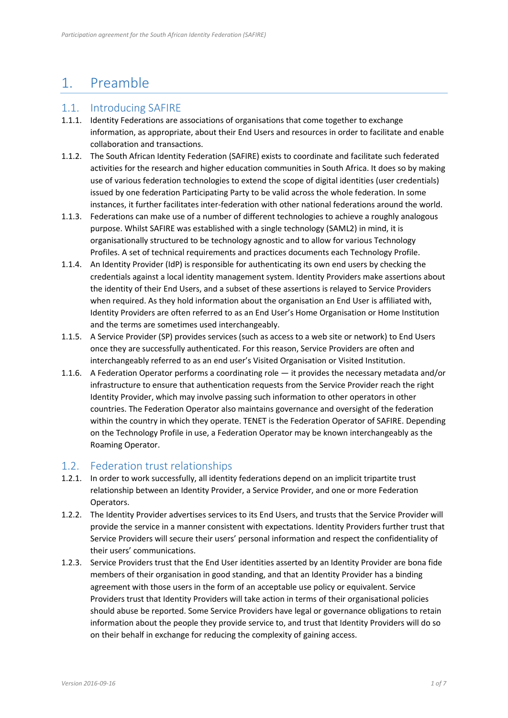## 1. Preamble

## 1.1. Introducing SAFIRE

- 1.1.1. Identity Federations are associations of organisations that come together to exchange information, as appropriate, about their End Users and resources in order to facilitate and enable collaboration and transactions.
- 1.1.2. The South African Identity Federation (SAFIRE) exists to coordinate and facilitate such federated activities for the research and higher education communities in South Africa. It does so by making use of various federation technologies to extend the scope of digital identities (user credentials) issued by one federation Participating Party to be valid across the whole federation. In some instances, it further facilitates inter-federation with other national federations around the world.
- 1.1.3. Federations can make use of a number of different technologies to achieve a roughly analogous purpose. Whilst SAFIRE was established with a single technology (SAML2) in mind, it is organisationally structured to be technology agnostic and to allow for various Technology Profiles. A set of technical requirements and practices documents each Technology Profile.
- 1.1.4. An Identity Provider (IdP) is responsible for authenticating its own end users by checking the credentials against a local identity management system. Identity Providers make assertions about the identity of their End Users, and a subset of these assertions is relayed to Service Providers when required. As they hold information about the organisation an End User is affiliated with, Identity Providers are often referred to as an End User's Home Organisation or Home Institution and the terms are sometimes used interchangeably.
- 1.1.5. A Service Provider (SP) provides services (such as access to a web site or network) to End Users once they are successfully authenticated. For this reason, Service Providers are often and interchangeably referred to as an end user's Visited Organisation or Visited Institution.
- 1.1.6. A Federation Operator performs a coordinating role it provides the necessary metadata and/or infrastructure to ensure that authentication requests from the Service Provider reach the right Identity Provider, which may involve passing such information to other operators in other countries. The Federation Operator also maintains governance and oversight of the federation within the country in which they operate. TENET is the Federation Operator of SAFIRE. Depending on the Technology Profile in use, a Federation Operator may be known interchangeably as the Roaming Operator.

## <span id="page-1-0"></span>1.2. Federation trust relationships

- 1.2.1. In order to work successfully, all identity federations depend on an implicit tripartite trust relationship between an Identity Provider, a Service Provider, and one or more Federation Operators.
- 1.2.2. The Identity Provider advertises services to its End Users, and trusts that the Service Provider will provide the service in a manner consistent with expectations. Identity Providers further trust that Service Providers will secure their users' personal information and respect the confidentiality of their users' communications.
- 1.2.3. Service Providers trust that the End User identities asserted by an Identity Provider are bona fide members of their organisation in good standing, and that an Identity Provider has a binding agreement with those users in the form of an acceptable use policy or equivalent. Service Providers trust that Identity Providers will take action in terms of their organisational policies should abuse be reported. Some Service Providers have legal or governance obligations to retain information about the people they provide service to, and trust that Identity Providers will do so on their behalf in exchange for reducing the complexity of gaining access.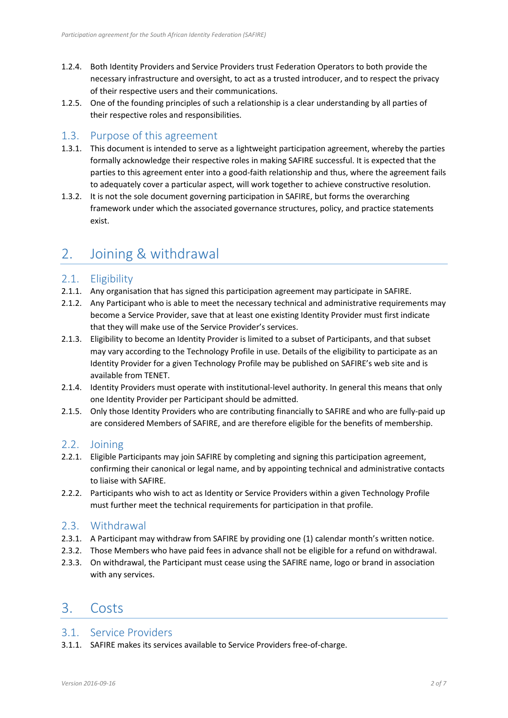- 1.2.4. Both Identity Providers and Service Providers trust Federation Operators to both provide the necessary infrastructure and oversight, to act as a trusted introducer, and to respect the privacy of their respective users and their communications.
- 1.2.5. One of the founding principles of such a relationship is a clear understanding by all parties of their respective roles and responsibilities.

#### 1.3. Purpose of this agreement

- 1.3.1. This document is intended to serve as a lightweight participation agreement, whereby the parties formally acknowledge their respective roles in making SAFIRE successful. It is expected that the parties to this agreement enter into a good-faith relationship and thus, where the agreement fails to adequately cover a particular aspect, will work together to achieve constructive resolution.
- 1.3.2. It is not the sole document governing participation in SAFIRE, but forms the overarching framework under which the associated governance structures, policy, and practice statements exist.

## 2. Joining & withdrawal

## 2.1. Eligibility

- 2.1.1. Any organisation that has signed this participation agreement may participate in SAFIRE.
- 2.1.2. Any Participant who is able to meet the necessary technical and administrative requirements may become a Service Provider, save that at least one existing Identity Provider must first indicate that they will make use of the Service Provider's services.
- 2.1.3. Eligibility to become an Identity Provider is limited to a subset of Participants, and that subset may vary according to the Technology Profile in use. Details of the eligibility to participate as an Identity Provider for a given Technology Profile may be published on SAFIRE's web site and is available from TENET.
- 2.1.4. Identity Providers must operate with institutional-level authority. In general this means that only one Identity Provider per Participant should be admitted.
- 2.1.5. Only those Identity Providers who are contributing financially to SAFIRE and who are fully-paid up are considered Members of SAFIRE, and are therefore eligible for the benefits of membership.

## 2.2. Joining

- 2.2.1. Eligible Participants may join SAFIRE by completing and signing this participation agreement, confirming their canonical or legal name, and by appointing technical and administrative contacts to liaise with SAFIRE.
- 2.2.2. Participants who wish to act as Identity or Service Providers within a given Technology Profile must further meet the technical requirements for participation in that profile.

## 2.3. Withdrawal

- 2.3.1. A Participant may withdraw from SAFIRE by providing one (1) calendar month's written notice.
- 2.3.2. Those Members who have paid fees in advance shall not be eligible for a refund on withdrawal.
- 2.3.3. On withdrawal, the Participant must cease using the SAFIRE name, logo or brand in association with any services.

## 3. Costs

## 3.1. Service Providers

3.1.1. SAFIRE makes its services available to Service Providers free-of-charge.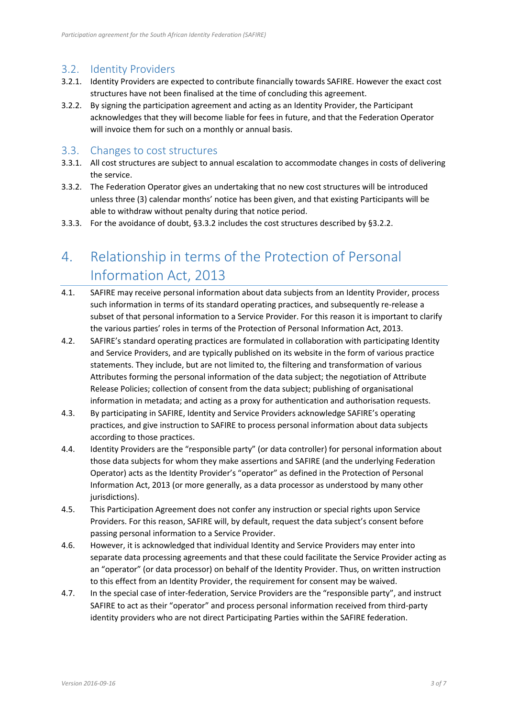## 3.2. Identity Providers

- 3.2.1. Identity Providers are expected to contribute financially towards SAFIRE. However the exact cost structures have not been finalised at the time of concluding this agreement.
- <span id="page-3-1"></span>3.2.2. By signing the participation agreement and acting as an Identity Provider, the Participant acknowledges that they will become liable for fees in future, and that the Federation Operator will invoice them for such on a monthly or annual basis.

#### 3.3. Changes to cost structures

- 3.3.1. All cost structures are subject to annual escalation to accommodate changes in costs of delivering the service.
- <span id="page-3-0"></span>3.3.2. The Federation Operator gives an undertaking that no new cost structures will be introduced unless three (3) calendar months' notice has been given, and that existing Participants will be able to withdraw without penalty during that notice period.
- 3.3.3. For the avoidance of doubt, [§3.3.2](#page-3-0) includes the cost structures described by [§3.2.2.](#page-3-1)

# 4. Relationship in terms of the Protection of Personal Information Act, 2013

- 4.1. SAFIRE may receive personal information about data subjects from an Identity Provider, process such information in terms of its standard operating practices, and subsequently re-release a subset of that personal information to a Service Provider. For this reason it is important to clarify the various parties' roles in terms of the Protection of Personal Information Act, 2013.
- 4.2. SAFIRE's standard operating practices are formulated in collaboration with participating Identity and Service Providers, and are typically published on its website in the form of various practice statements. They include, but are not limited to, the filtering and transformation of various Attributes forming the personal information of the data subject; the negotiation of Attribute Release Policies; collection of consent from the data subject; publishing of organisational information in metadata; and acting as a proxy for authentication and authorisation requests.
- 4.3. By participating in SAFIRE, Identity and Service Providers acknowledge SAFIRE's operating practices, and give instruction to SAFIRE to process personal information about data subjects according to those practices.
- 4.4. Identity Providers are the "responsible party" (or data controller) for personal information about those data subjects for whom they make assertions and SAFIRE (and the underlying Federation Operator) acts as the Identity Provider's "operator" as defined in the Protection of Personal Information Act, 2013 (or more generally, as a data processor as understood by many other jurisdictions).
- 4.5. This Participation Agreement does not confer any instruction or special rights upon Service Providers. For this reason, SAFIRE will, by default, request the data subject's consent before passing personal information to a Service Provider.
- 4.6. However, it is acknowledged that individual Identity and Service Providers may enter into separate data processing agreements and that these could facilitate the Service Provider acting as an "operator" (or data processor) on behalf of the Identity Provider. Thus, on written instruction to this effect from an Identity Provider, the requirement for consent may be waived.
- 4.7. In the special case of inter-federation, Service Providers are the "responsible party", and instruct SAFIRE to act as their "operator" and process personal information received from third-party identity providers who are not direct Participating Parties within the SAFIRE federation.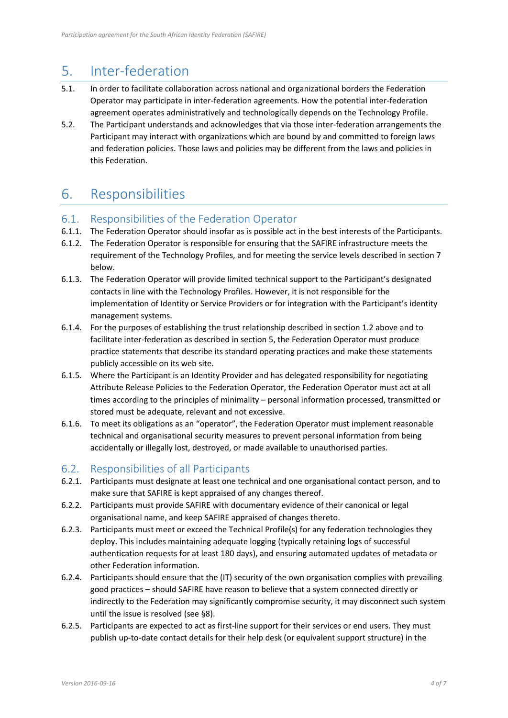## <span id="page-4-1"></span>5. Inter-federation

- 5.1. In order to facilitate collaboration across national and organizational borders the Federation Operator may participate in inter-federation agreements. How the potential inter-federation agreement operates administratively and technologically depends on the Technology Profile.
- 5.2. The Participant understands and acknowledges that via those inter-federation arrangements the Participant may interact with organizations which are bound by and committed to foreign laws and federation policies. Those laws and policies may be different from the laws and policies in this Federation.

# 6. Responsibilities

## 6.1. Responsibilities of the Federation Operator

- 6.1.1. The Federation Operator should insofar as is possible act in the best interests of the Participants.
- 6.1.2. The Federation Operator is responsible for ensuring that the SAFIRE infrastructure meets the requirement of the Technology Profiles, and for meeting the service levels described in section [7](#page-6-0)  [below.](#page-6-0)
- 6.1.3. The Federation Operator will provide limited technical support to the Participant's designated contacts in line with the Technology Profiles. However, it is not responsible for the implementation of Identity or Service Providers or for integration with the Participant's identity management systems.
- 6.1.4. For the purposes of establishing the trust relationship described in sectio[n 1.2 above](#page-1-0) and to facilitate inter-federation as described in section [5,](#page-4-1) the Federation Operator must produce practice statements that describe its standard operating practices and make these statements publicly accessible on its web site.
- 6.1.5. Where the Participant is an Identity Provider and has delegated responsibility for negotiating Attribute Release Policies to the Federation Operator, the Federation Operator must act at all times according to the principles of minimality – personal information processed, transmitted or stored must be adequate, relevant and not excessive.
- 6.1.6. To meet its obligations as an "operator", the Federation Operator must implement reasonable technical and organisational security measures to prevent personal information from being accidentally or illegally lost, destroyed, or made available to unauthorised parties.

## 6.2. Responsibilities of all Participants

- <span id="page-4-0"></span>6.2.1. Participants must designate at least one technical and one organisational contact person, and to make sure that SAFIRE is kept appraised of any changes thereof.
- 6.2.2. Participants must provide SAFIRE with documentary evidence of their canonical or legal organisational name, and keep SAFIRE appraised of changes thereto.
- 6.2.3. Participants must meet or exceed the Technical Profile(s) for any federation technologies they deploy. This includes maintaining adequate logging (typically retaining logs of successful authentication requests for at least 180 days), and ensuring automated updates of metadata or other Federation information.
- 6.2.4. Participants should ensure that the (IT) security of the own organisation complies with prevailing good practices – should SAFIRE have reason to believe that a system connected directly or indirectly to the Federation may significantly compromise security, it may disconnect such system until the issue is resolved (see [§8\)](#page-6-1).
- 6.2.5. Participants are expected to act as first-line support for their services or end users. They must publish up-to-date contact details for their help desk (or equivalent support structure) in the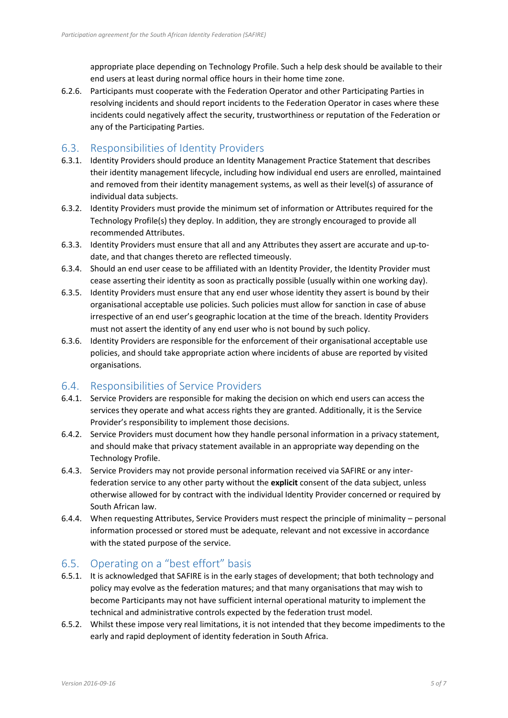appropriate place depending on Technology Profile. Such a help desk should be available to their end users at least during normal office hours in their home time zone.

6.2.6. Participants must cooperate with the Federation Operator and other Participating Parties in resolving incidents and should report incidents to the Federation Operator in cases where these incidents could negatively affect the security, trustworthiness or reputation of the Federation or any of the Participating Parties.

## 6.3. Responsibilities of Identity Providers

- 6.3.1. Identity Providers should produce an Identity Management Practice Statement that describes their identity management lifecycle, including how individual end users are enrolled, maintained and removed from their identity management systems, as well as their level(s) of assurance of individual data subjects.
- 6.3.2. Identity Providers must provide the minimum set of information or Attributes required for the Technology Profile(s) they deploy. In addition, they are strongly encouraged to provide all recommended Attributes.
- 6.3.3. Identity Providers must ensure that all and any Attributes they assert are accurate and up-todate, and that changes thereto are reflected timeously.
- 6.3.4. Should an end user cease to be affiliated with an Identity Provider, the Identity Provider must cease asserting their identity as soon as practically possible (usually within one working day).
- 6.3.5. Identity Providers must ensure that any end user whose identity they assert is bound by their organisational acceptable use policies. Such policies must allow for sanction in case of abuse irrespective of an end user's geographic location at the time of the breach. Identity Providers must not assert the identity of any end user who is not bound by such policy.
- 6.3.6. Identity Providers are responsible for the enforcement of their organisational acceptable use policies, and should take appropriate action where incidents of abuse are reported by visited organisations.

## 6.4. Responsibilities of Service Providers

- 6.4.1. Service Providers are responsible for making the decision on which end users can access the services they operate and what access rights they are granted. Additionally, it is the Service Provider's responsibility to implement those decisions.
- 6.4.2. Service Providers must document how they handle personal information in a privacy statement, and should make that privacy statement available in an appropriate way depending on the Technology Profile.
- 6.4.3. Service Providers may not provide personal information received via SAFIRE or any interfederation service to any other party without the **explicit** consent of the data subject, unless otherwise allowed for by contract with the individual Identity Provider concerned or required by South African law.
- 6.4.4. When requesting Attributes, Service Providers must respect the principle of minimality personal information processed or stored must be adequate, relevant and not excessive in accordance with the stated purpose of the service.

## <span id="page-5-0"></span>6.5. Operating on a "best effort" basis

- 6.5.1. It is acknowledged that SAFIRE is in the early stages of development; that both technology and policy may evolve as the federation matures; and that many organisations that may wish to become Participants may not have sufficient internal operational maturity to implement the technical and administrative controls expected by the federation trust model.
- 6.5.2. Whilst these impose very real limitations, it is not intended that they become impediments to the early and rapid deployment of identity federation in South Africa.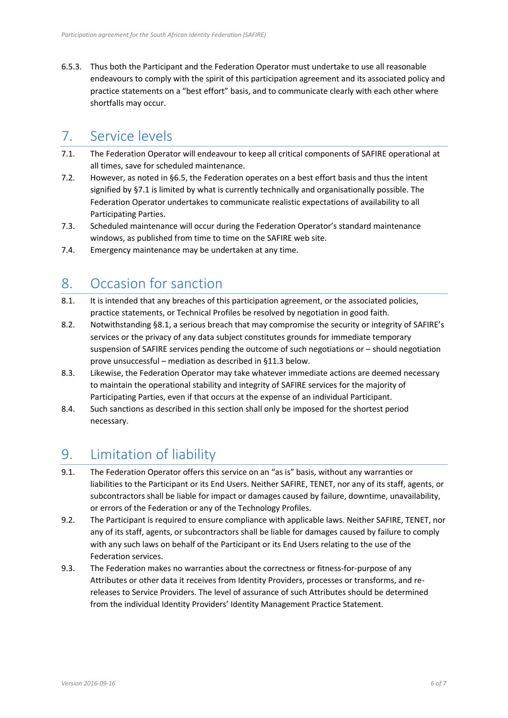6.5.3. Thus both the Participant and the Federation Operator must undertake to use all reasonable endeavours to comply with the spirit of this participation agreement and its associated policy and practice statements on a "best effort" basis, and to communicate clearly with each other where shortfalls may occur.

## <span id="page-6-0"></span>7. Service levels

- <span id="page-6-2"></span>7.1. The Federation Operator will endeavour to keep all critical components of SAFIRE operational at all times, save for scheduled maintenance.
- 7.2. However, as noted in [§6.5,](#page-5-0) the Federation operates on a best effort basis and thus the intent signified by [§7.1](#page-6-2) is limited by what is currently technically and organisationally possible. The Federation Operator undertakes to communicate realistic expectations of availability to all Participating Parties.
- 7.3. Scheduled maintenance will occur during the Federation Operator's standard maintenance windows, as published from time to time on the SAFIRE web site.
- 7.4. Emergency maintenance may be undertaken at any time.

# <span id="page-6-1"></span>8. Occasion for sanction

- <span id="page-6-3"></span>8.1. It is intended that any breaches of this participation agreement, or the associated policies, practice statements, or Technical Profiles be resolved by negotiation in good faith.
- 8.2. Notwithstanding [§8.1](#page-6-3), a serious breach that may compromise the security or integrity of SAFIRE's services or the privacy of any data subject constitutes grounds for immediate temporary suspension of SAFIRE services pending the outcome of such negotiations or – should negotiation prove unsuccessful – mediation as described in [§11.3 below.](#page-7-0)
- 8.3. Likewise, the Federation Operator may take whatever immediate actions are deemed necessary to maintain the operational stability and integrity of SAFIRE services for the majority of Participating Parties, even if that occurs at the expense of an individual Participant.
- 8.4. Such sanctions as described in this section shall only be imposed for the shortest period necessary.

# 9. Limitation of liability

- 9.1. The Federation Operator offers this service on an "as is" basis, without any warranties or liabilities to the Participant or its End Users. Neither SAFIRE, TENET, nor any of its staff, agents, or subcontractors shall be liable for impact or damages caused by failure, downtime, unavailability, or errors of the Federation or any of the Technology Profiles.
- 9.2. The Participant is required to ensure compliance with applicable laws. Neither SAFIRE, TENET, nor any of its staff, agents, or subcontractors shall be liable for damages caused by failure to comply with any such laws on behalf of the Participant or its End Users relating to the use of the Federation services.
- 9.3. The Federation makes no warranties about the correctness or fitness-for-purpose of any Attributes or other data it receives from Identity Providers, processes or transforms, and rereleases to Service Providers. The level of assurance of such Attributes should be determined from the individual Identity Providers' Identity Management Practice Statement.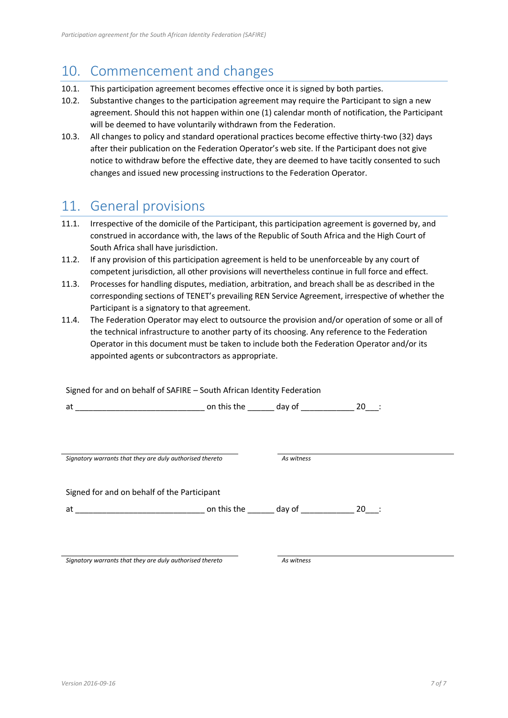## 10. Commencement and changes

- 10.1. This participation agreement becomes effective once it is signed by both parties.
- 10.2. Substantive changes to the participation agreement may require the Participant to sign a new agreement. Should this not happen within one (1) calendar month of notification, the Participant will be deemed to have voluntarily withdrawn from the Federation.
- 10.3. All changes to policy and standard operational practices become effective thirty-two (32) days after their publication on the Federation Operator's web site. If the Participant does not give notice to withdraw before the effective date, they are deemed to have tacitly consented to such changes and issued new processing instructions to the Federation Operator.

## 11. General provisions

- 11.1. Irrespective of the domicile of the Participant, this participation agreement is governed by, and construed in accordance with, the laws of the Republic of South Africa and the High Court of South Africa shall have jurisdiction.
- 11.2. If any provision of this participation agreement is held to be unenforceable by any court of competent jurisdiction, all other provisions will nevertheless continue in full force and effect.
- <span id="page-7-0"></span>11.3. Processes for handling disputes, mediation, arbitration, and breach shall be as described in the corresponding sections of TENET's prevailing REN Service Agreement, irrespective of whether the Participant is a signatory to that agreement.
- 11.4. The Federation Operator may elect to outsource the provision and/or operation of some or all of the technical infrastructure to another party of its choosing. Any reference to the Federation Operator in this document must be taken to include both the Federation Operator and/or its appointed agents or subcontractors as appropriate.

| Signed for and on behalf of SAFIRE - South African Identity Federation |            |  |
|------------------------------------------------------------------------|------------|--|
|                                                                        |            |  |
|                                                                        |            |  |
|                                                                        |            |  |
|                                                                        |            |  |
| Signatory warrants that they are duly authorised thereto               | As witness |  |
|                                                                        |            |  |
| Signed for and on behalf of the Participant                            |            |  |
|                                                                        |            |  |
|                                                                        |            |  |
|                                                                        |            |  |

*Signatory warrants that they are duly authorised thereto As witness*